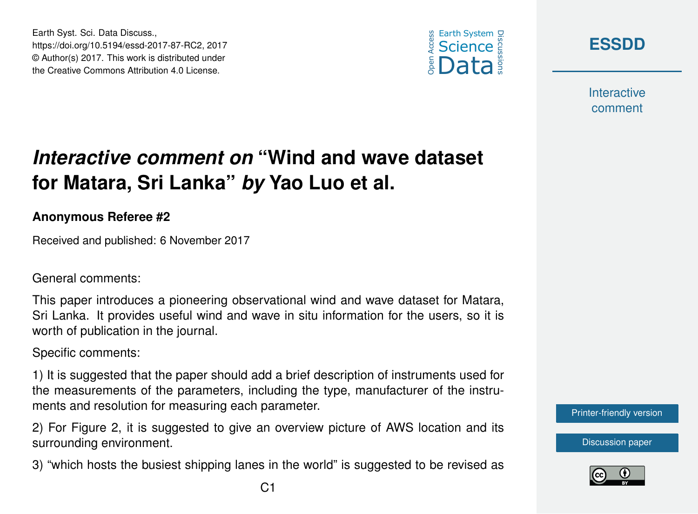





**Interactive** comment

## *Interactive comment on* **"Wind and wave dataset for Matara, Sri Lanka"** *by* **Yao Luo et al.**

## **Anonymous Referee #2**

Received and published: 6 November 2017

General comments:

This paper introduces a pioneering observational wind and wave dataset for Matara, Sri Lanka. It provides useful wind and wave in situ information for the users, so it is worth of publication in the journal.

Specific comments:

1) It is suggested that the paper should add a brief description of instruments used for the measurements of the parameters, including the type, manufacturer of the instruments and resolution for measuring each parameter.

2) For Figure 2, it is suggested to give an overview picture of AWS location and its surrounding environment.

3) "which hosts the busiest shipping lanes in the world" is suggested to be revised as

[Printer-friendly version](https://www.earth-syst-sci-data-discuss.net/essd-2017-87/essd-2017-87-RC2-print.pdf)

[Discussion paper](https://www.earth-syst-sci-data-discuss.net/essd-2017-87)